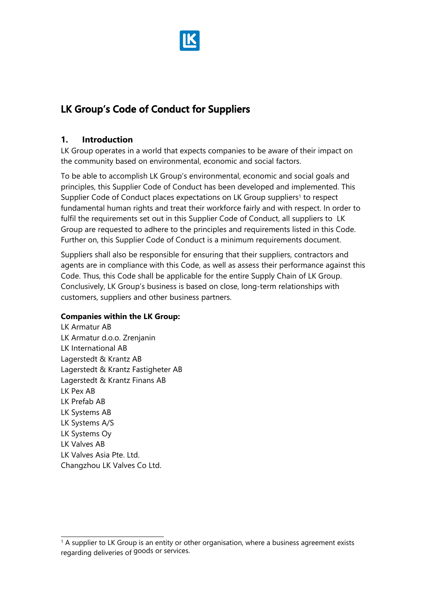

# **LK Group's Code of Conduct for Suppliers**

### **1. Introduction**

LK Group operates in a world that expects companies to be aware of their impact on the community based on environmental, economic and social factors.

To be able to accomplish LK Group's environmental, economic and social goals and principles, this Supplier Code of Conduct has been developed and implemented. This Supplier Code of Conduct places expectations on LK Group suppliers<sup>1</sup> to respect fundamental human rights and treat their workforce fairly and with respect. In order to fulfil the requirements set out in this Supplier Code of Conduct, all suppliers to LK Group are requested to adhere to the principles and requirements listed in this Code. Further on, this Supplier Code of Conduct is a minimum requirements document.

Suppliers shall also be responsible for ensuring that their suppliers, contractors and agents are in compliance with this Code, as well as assess their performance against this Code. Thus, this Code shall be applicable for the entire Supply Chain of LK Group. Conclusively, LK Group's business is based on close, long-term relationships with customers, suppliers and other business partners.

### **Companies within the LK Group:**

LK Armatur AB LK Armatur d.o.o. Zrenjanin LK International AB Lagerstedt & Krantz AB Lagerstedt & Krantz Fastigheter AB Lagerstedt & Krantz Finans AB LK Pex AB LK Prefab AB LK Systems AB LK Systems A/S LK Systems Oy LK Valves AB LK Valves Asia Pte. Ltd. Changzhou LK Valves Co Ltd.

<sup>&</sup>lt;sup>1</sup> A supplier to LK Group is an entity or other organisation, where a business agreement exists regarding deliveries of goods or services.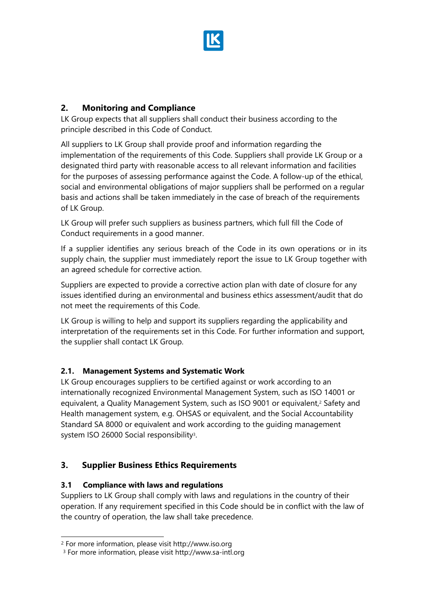

# **2. Monitoring and Compliance**

LK Group expects that all suppliers shall conduct their business according to the principle described in this Code of Conduct.

All suppliers to LK Group shall provide proof and information regarding the implementation of the requirements of this Code. Suppliers shall provide LK Group or a designated third party with reasonable access to all relevant information and facilities for the purposes of assessing performance against the Code. A follow-up of the ethical, social and environmental obligations of major suppliers shall be performed on a regular basis and actions shall be taken immediately in the case of breach of the requirements of LK Group.

LK Group will prefer such suppliers as business partners, which full fill the Code of Conduct requirements in a good manner.

If a supplier identifies any serious breach of the Code in its own operations or in its supply chain, the supplier must immediately report the issue to LK Group together with an agreed schedule for corrective action.

Suppliers are expected to provide a corrective action plan with date of closure for any issues identified during an environmental and business ethics assessment/audit that do not meet the requirements of this Code.

LK Group is willing to help and support its suppliers regarding the applicability and interpretation of the requirements set in this Code. For further information and support, the supplier shall contact LK Group.

# **2.1. Management Systems and Systematic Work**

LK Group encourages suppliers to be certified against or work according to an internationally recognized Environmental Management System, such as ISO 14001 or equivalent, a Quality Management System, such as ISO 9001 or equivalent,<sup>2</sup> Safety and Health management system, e.g. OHSAS or equivalent, and the Social Accountability Standard SA 8000 or equivalent and work according to the guiding management system ISO 26000 Social responsibility<sup>3</sup>.

# **3. Supplier Business Ethics Requirements**

### **3.1 Compliance with laws and regulations**

Suppliers to LK Group shall comply with laws and regulations in the country of their operation. If any requirement specified in this Code should be in conflict with the law of the country of operation, the law shall take precedence.

<sup>2</sup> For more information, please visit http://www.iso.org

<sup>3</sup> For more information, please visit http://www.sa-intl.org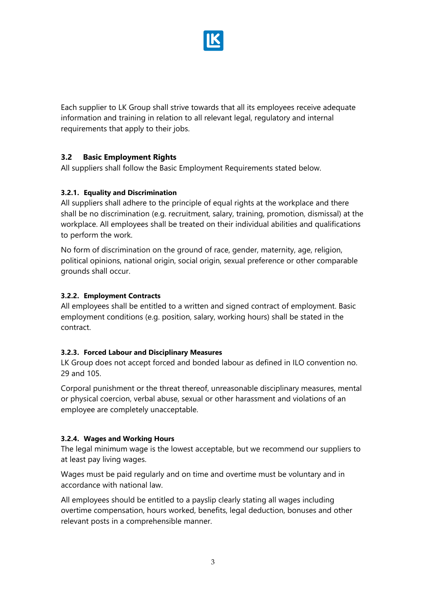

Each supplier to LK Group shall strive towards that all its employees receive adequate information and training in relation to all relevant legal, regulatory and internal requirements that apply to their jobs.

### **3.2 Basic Employment Rights**

All suppliers shall follow the Basic Employment Requirements stated below.

#### **3.2.1. Equality and Discrimination**

All suppliers shall adhere to the principle of equal rights at the workplace and there shall be no discrimination (e.g. recruitment, salary, training, promotion, dismissal) at the workplace. All employees shall be treated on their individual abilities and qualifications to perform the work.

No form of discrimination on the ground of race, gender, maternity, age, religion, political opinions, national origin, social origin, sexual preference or other comparable grounds shall occur.

#### **3.2.2. Employment Contracts**

All employees shall be entitled to a written and signed contract of employment. Basic employment conditions (e.g. position, salary, working hours) shall be stated in the contract.

#### **3.2.3. Forced Labour and Disciplinary Measures**

LK Group does not accept forced and bonded labour as defined in ILO convention no. 29 and 105.

Corporal punishment or the threat thereof, unreasonable disciplinary measures, mental or physical coercion, verbal abuse, sexual or other harassment and violations of an employee are completely unacceptable.

#### **3.2.4. Wages and Working Hours**

The legal minimum wage is the lowest acceptable, but we recommend our suppliers to at least pay living wages.

Wages must be paid regularly and on time and overtime must be voluntary and in accordance with national law.

All employees should be entitled to a payslip clearly stating all wages including overtime compensation, hours worked, benefits, legal deduction, bonuses and other relevant posts in a comprehensible manner.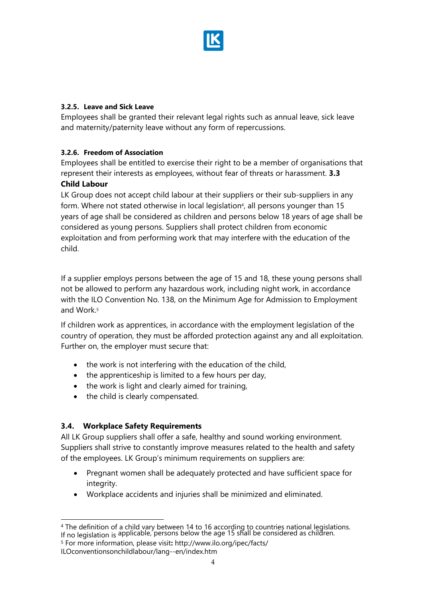

#### **3.2.5. Leave and Sick Leave**

Employees shall be granted their relevant legal rights such as annual leave, sick leave and maternity/paternity leave without any form of repercussions.

### **3.2.6. Freedom of Association**

Employees shall be entitled to exercise their right to be a member of organisations that represent their interests as employees, without fear of threats or harassment. **3.3 Child Labour** 

LK Group does not accept child labour at their suppliers or their sub-suppliers in any form. Where not stated otherwise in local legislation<sup>4</sup>, all persons younger than 15 years of age shall be considered as children and persons below 18 years of age shall be considered as young persons. Suppliers shall protect children from economic exploitation and from performing work that may interfere with the education of the child.

If a supplier employs persons between the age of 15 and 18, these young persons shall not be allowed to perform any hazardous work, including night work, in accordance with the ILO Convention No. 138, on the Minimum Age for Admission to Employment and Work.<sup>5</sup>

If children work as apprentices, in accordance with the employment legislation of the country of operation, they must be afforded protection against any and all exploitation. Further on, the employer must secure that:

- the work is not interfering with the education of the child,
- the apprenticeship is limited to a few hours per day,
- the work is light and clearly aimed for training,
- the child is clearly compensated.

### **3.4. Workplace Safety Requirements**

All LK Group suppliers shall offer a safe, healthy and sound working environment. Suppliers shall strive to constantly improve measures related to the health and safety of the employees. LK Group's minimum requirements on suppliers are:

- Pregnant women shall be adequately protected and have sufficient space for integrity.
- Workplace accidents and injuries shall be minimized and eliminated.

<sup>4</sup> The definition of a child vary between 14 to 16 according to countries national legislations. If no legislation is applicable, persons below the age 15 shall be considered as children.

<sup>5</sup> For more information, please visit**:** http://www.ilo.org/ipec/facts/

ILOconventionsonchildlabour/lang--en/index.htm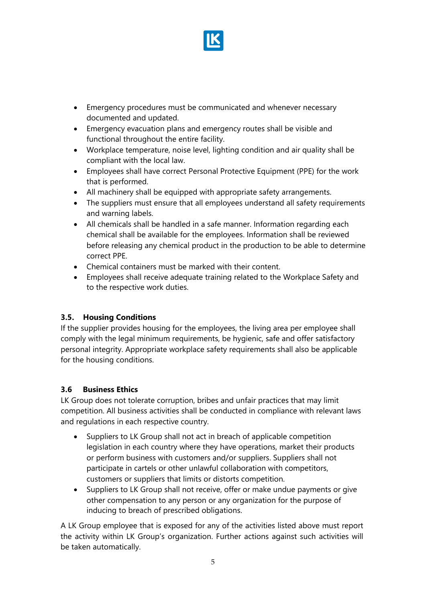

- Emergency procedures must be communicated and whenever necessary documented and updated.
- Emergency evacuation plans and emergency routes shall be visible and functional throughout the entire facility.
- Workplace temperature, noise level, lighting condition and air quality shall be compliant with the local law.
- Employees shall have correct Personal Protective Equipment (PPE) for the work that is performed.
- All machinery shall be equipped with appropriate safety arrangements.
- The suppliers must ensure that all employees understand all safety requirements and warning labels.
- All chemicals shall be handled in a safe manner. Information regarding each chemical shall be available for the employees. Information shall be reviewed before releasing any chemical product in the production to be able to determine correct PPE.
- Chemical containers must be marked with their content.
- Employees shall receive adequate training related to the Workplace Safety and to the respective work duties.

# **3.5. Housing Conditions**

If the supplier provides housing for the employees, the living area per employee shall comply with the legal minimum requirements, be hygienic, safe and offer satisfactory personal integrity. Appropriate workplace safety requirements shall also be applicable for the housing conditions.

# **3.6 Business Ethics**

LK Group does not tolerate corruption, bribes and unfair practices that may limit competition. All business activities shall be conducted in compliance with relevant laws and regulations in each respective country.

- Suppliers to LK Group shall not act in breach of applicable competition legislation in each country where they have operations, market their products or perform business with customers and/or suppliers. Suppliers shall not participate in cartels or other unlawful collaboration with competitors, customers or suppliers that limits or distorts competition.
- Suppliers to LK Group shall not receive, offer or make undue payments or give other compensation to any person or any organization for the purpose of inducing to breach of prescribed obligations.

A LK Group employee that is exposed for any of the activities listed above must report the activity within LK Group's organization. Further actions against such activities will be taken automatically.